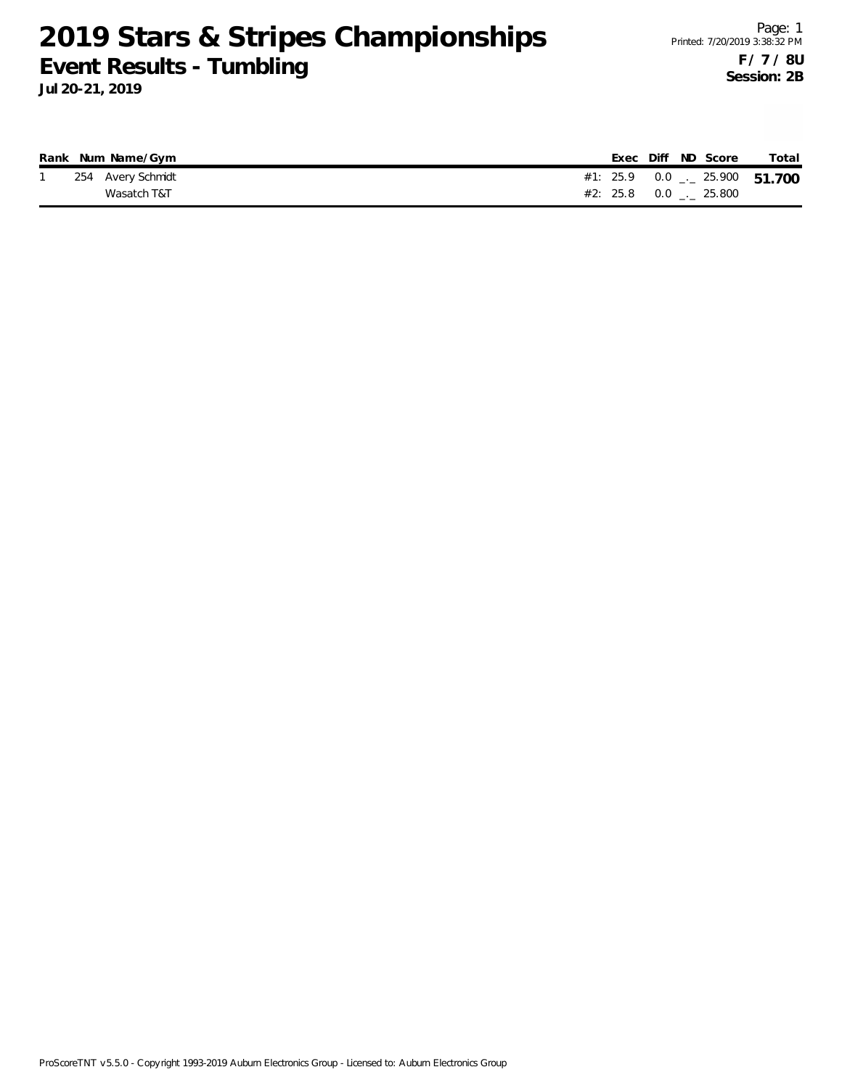|  | Rank Num Name/Gym |  |  | Exec Diff ND Score | Total                                        |
|--|-------------------|--|--|--------------------|----------------------------------------------|
|  | 254 Avery Schmidt |  |  |                    | #1: 25.9  0.0 $_{\leftarrow}$ 25.900  51.700 |
|  | Wasatch T&T       |  |  |                    |                                              |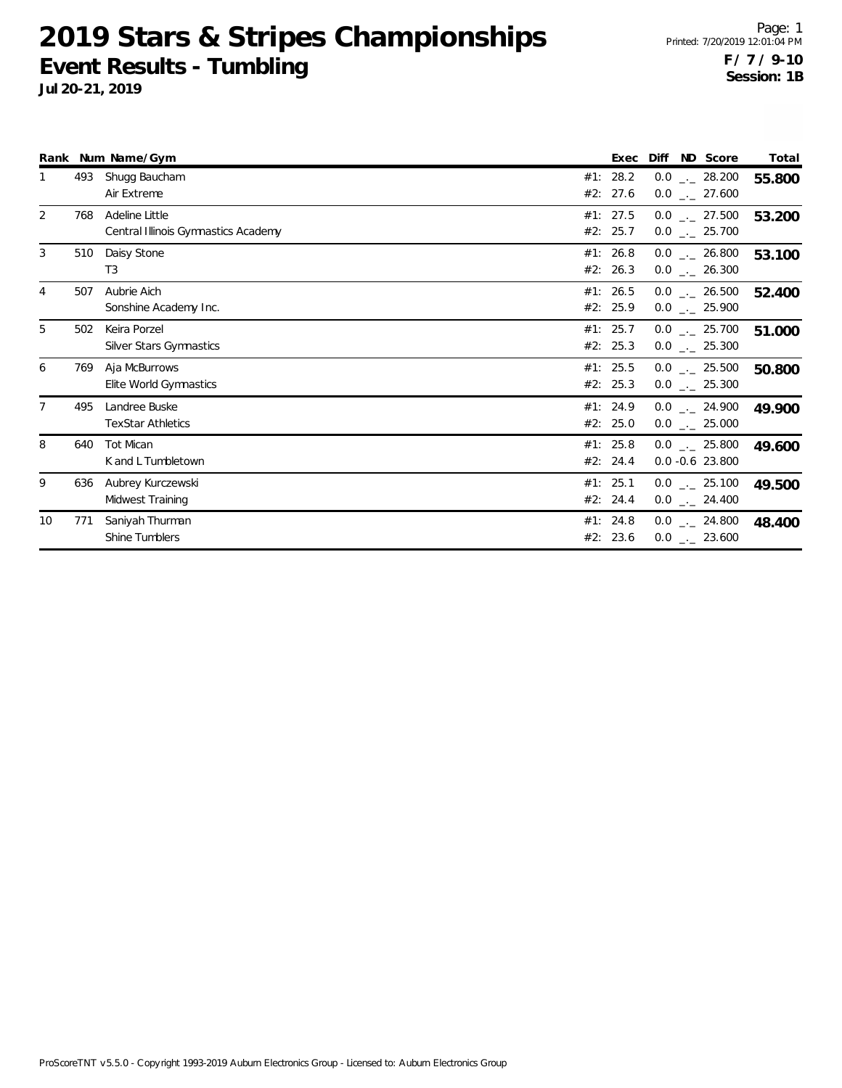|                |     | Rank Num Name/Gym                                     |                      | Exec     | ND Score<br>Diff                     | Total  |
|----------------|-----|-------------------------------------------------------|----------------------|----------|--------------------------------------|--------|
|                | 493 | Shugg Baucham<br>Air Extreme                          | #1: 28.2<br>#2: 27.6 |          | $0.0$ _._ 28.200<br>$0.0$ _._ 27.600 | 55.800 |
| 2              | 768 | Adeline Little<br>Central Illinois Gymnastics Academy | #1: 27.5<br>#2: 25.7 |          | $0.0$ _._ 27.500<br>$0.0$ _ 25.700   | 53.200 |
| 3              | 510 | Daisy Stone<br>T3                                     | #1: 26.8<br>#2: 26.3 |          | $0.0$ _._ 26.800<br>$0.0$ _ 26.300   | 53.100 |
| 4              | 507 | Aubrie Aich<br>Sonshine Academy Inc.                  | #1: 26.5<br>#2: 25.9 |          | $0.0$ _._ 26.500<br>$0.0$ _ 25.900   | 52.400 |
| 5              | 502 | Keira Porzel<br>Silver Stars Gymnastics               | #1: 25.7<br>#2: 25.3 |          | $0.0$ _._ 25.700<br>$0.0$ _._ 25.300 | 51.000 |
| 6              | 769 | Aja McBurrows<br>Elite World Gymnastics               | #1: 25.5<br>#2: 25.3 |          | $0.0$ _._ 25.500<br>$0.0$ _._ 25.300 | 50.800 |
| $\overline{7}$ | 495 | Landree Buske<br><b>TexStar Athletics</b>             | #1: 24.9             | #2: 25.0 | $0.0$ _._ 24.900<br>$0.0$ _ 25.000   | 49.900 |
| 8              | 640 | <b>Tot Mican</b><br>K and L Tumbletown                | #1: 25.8<br>#2: 24.4 |          | $0.0$ _ 25.800<br>$0.0 - 0.6$ 23.800 | 49.600 |
| 9              | 636 | Aubrey Kurczewski<br>Midwest Training                 | #1: 25.1<br>#2: 24.4 |          | $0.0$ _ 25.100<br>$0.0$ _ 24.400     | 49.500 |
| 10             | 771 | Saniyah Thurman<br>Shine Tumblers                     | #1: 24.8<br>#2: 23.6 |          | $0.0$ _._ 24.800<br>$0.0$ _ 23.600   | 48.400 |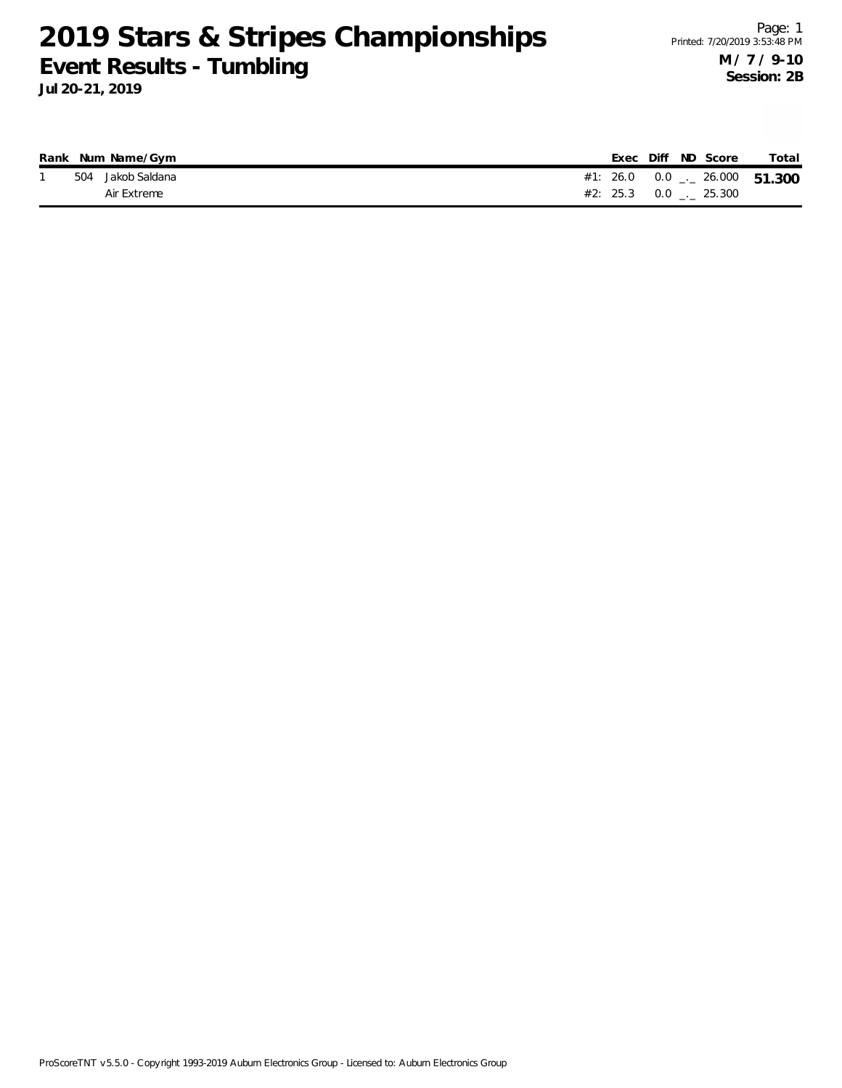|  | Rank Num Name/Gym |  |  | Exec Diff ND Score              | Total                               |
|--|-------------------|--|--|---------------------------------|-------------------------------------|
|  | 504 Jakob Saldana |  |  |                                 | #1: 26.0 0.0 $\ldots$ 26.000 51.300 |
|  | Air Extreme       |  |  | $#2: 25.3 \t 0.0 \t  \t 25.300$ |                                     |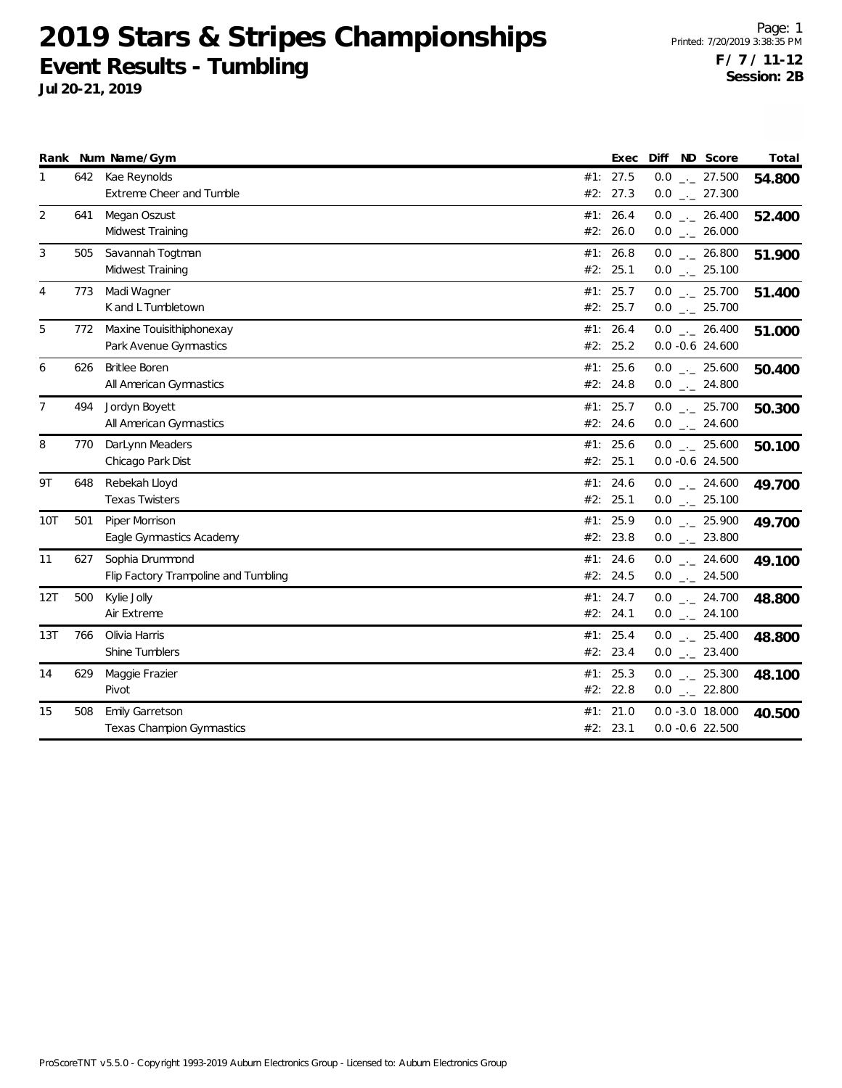|                |     | Rank Num Name/Gym                                       | Exec                    | Diff<br>ND Score                                   | Total  |
|----------------|-----|---------------------------------------------------------|-------------------------|----------------------------------------------------|--------|
| 1              | 642 | Kae Reynolds<br>Extreme Cheer and Tumble                | #1: 27.5<br>#2:<br>27.3 | $0.0$ _ 27.500<br>$0.0$ _ 27.300                   | 54.800 |
| 2              | 641 | Megan Oszust<br>Midwest Training                        | #1: 26.4<br>#2: 26.0    | $0.0$ _ 26.400<br>$0.0$ _ 26.000                   | 52.400 |
| 3              | 505 | Savannah Togtman<br>Midwest Training                    | #1: 26.8<br>25.1<br>#2: | $0.0$ _ 26.800<br>$0.0$ _ 25.100                   | 51.900 |
| 4              | 773 | Madi Wagner<br>K and L Tumbletown                       | #1: 25.7<br>#2: 25.7    | $0.0$ _ 25.700<br>$0.0$ _ 25.700                   | 51.400 |
| 5              | 772 | Maxine Touisithiphonexay<br>Park Avenue Gymnastics      | #1: 26.4<br>#2: 25.2    | $0.0$ _ 26.400<br>$0.0 - 0.6$ 24.600               | 51.000 |
| 6              | 626 | <b>Britlee Boren</b><br>All American Gymnastics         | 25.6<br>#1:<br>#2: 24.8 | $0.0$ _ 25.600<br>$0.0$ _ 24.800                   | 50.400 |
| $\overline{7}$ | 494 | Jordyn Boyett<br>All American Gymnastics                | 25.7<br>#1:<br>#2: 24.6 | $0.0$ $_{-}$ 25.700<br>$0.0$ _ 24.600              | 50.300 |
| 8              | 770 | DarLynn Meaders<br>Chicago Park Dist                    | 25.6<br>#1:<br>#2: 25.1 | $0.0$ $_{\leftarrow}$ 25.600<br>$0.0 - 0.6$ 24.500 | 50.100 |
| 9T             | 648 | Rebekah Lloyd<br><b>Texas Twisters</b>                  | #1: 24.6<br>#2:<br>25.1 | $0.0$ _ 24.600<br>$0.0$ _ 25.100                   | 49.700 |
| <b>10T</b>     | 501 | Piper Morrison<br>Eagle Gymnastics Academy              | #1: 25.9<br>#2: 23.8    | $0.0$ _ 25.900<br>$0.0$ _ 23.800                   | 49.700 |
| 11             | 627 | Sophia Drummond<br>Flip Factory Trampoline and Tumbling | #1: 24.6<br>#2: 24.5    | $0.0$ _ 24.600<br>$0.0$ _ 24.500                   | 49.100 |
| 12T            | 500 | Kylie Jolly<br>Air Extreme                              | #1: 24.7<br>#2: 24.1    | $0.0$ _ 24.700<br>$0.0$ _ 24.100                   | 48.800 |
| 13T            | 766 | Olivia Harris<br>Shine Tumblers                         | #1: 25.4<br>#2: 23.4    | $0.0$ _ $25.400$<br>$0.0$ _ 23.400                 | 48.800 |
| 14             | 629 | Maggie Frazier<br>Pivot                                 | #1: $25.3$<br>#2: 22.8  | $0.0$ $_{\leftarrow}$ 25.300<br>$0.0$ _ 22.800     | 48.100 |
| 15             | 508 | Emily Garretson<br>Texas Champion Gymnastics            | 21.0<br>#1:<br>#2: 23.1 | $0.0 - 3.0 18.000$<br>$0.0 - 0.6$ 22.500           | 40.500 |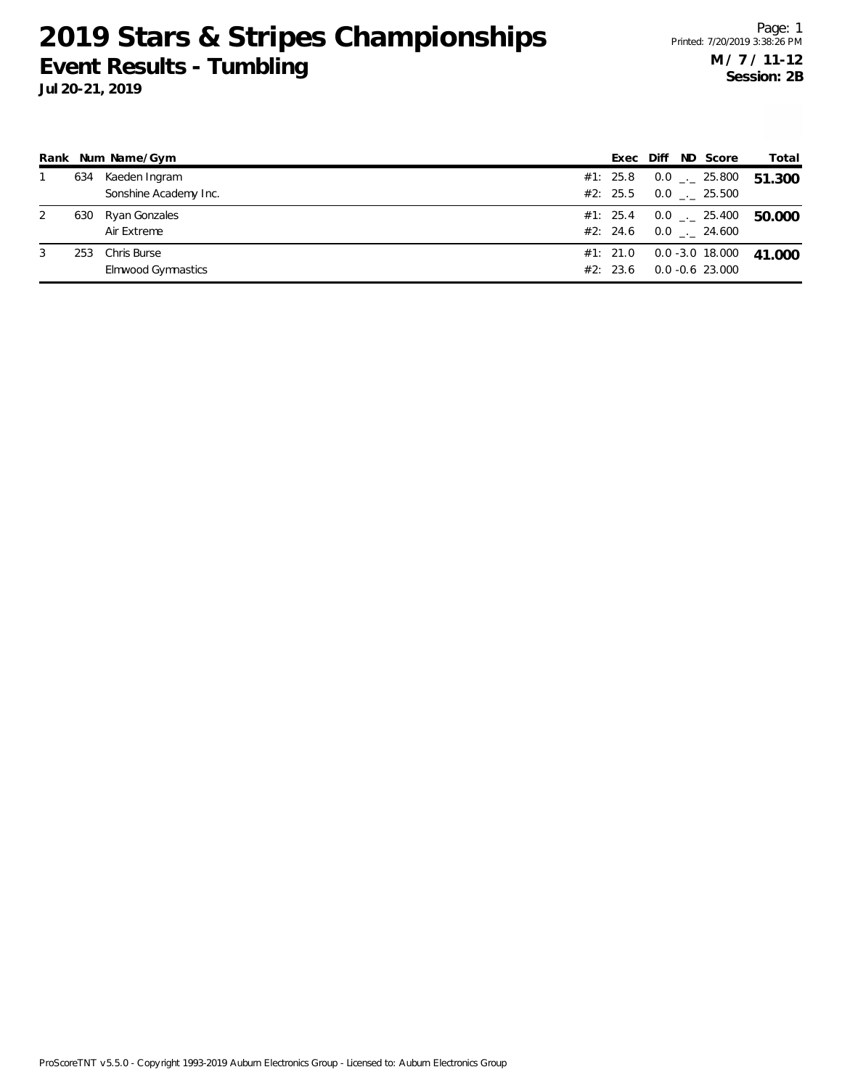|   |     | Rank Num Name/Gym                      | Exec                   | Diff | ND Score                               | Total  |
|---|-----|----------------------------------------|------------------------|------|----------------------------------------|--------|
|   | 634 | Kaeden Ingram<br>Sonshine Academy Inc. | #1: $25.8$<br>#2: 25.5 |      | $0.0$ _ $-$ 25.800<br>$0.0$ _._ 25.500 | 51.300 |
|   | 630 | Ryan Gonzales<br>Air Extreme           | #1: 25.4<br>#2: 24.6   |      | $0.0$ _._ 25.400<br>$0.0$ _._ 24.600   | 50.000 |
| 3 | 253 | Chris Burse<br>Elmwood Gymnastics      | #1: 21.0<br>#2: 23.6   |      | 0.0 -3.0 18.000<br>$0.0 - 0.6$ 23.000  | 41.000 |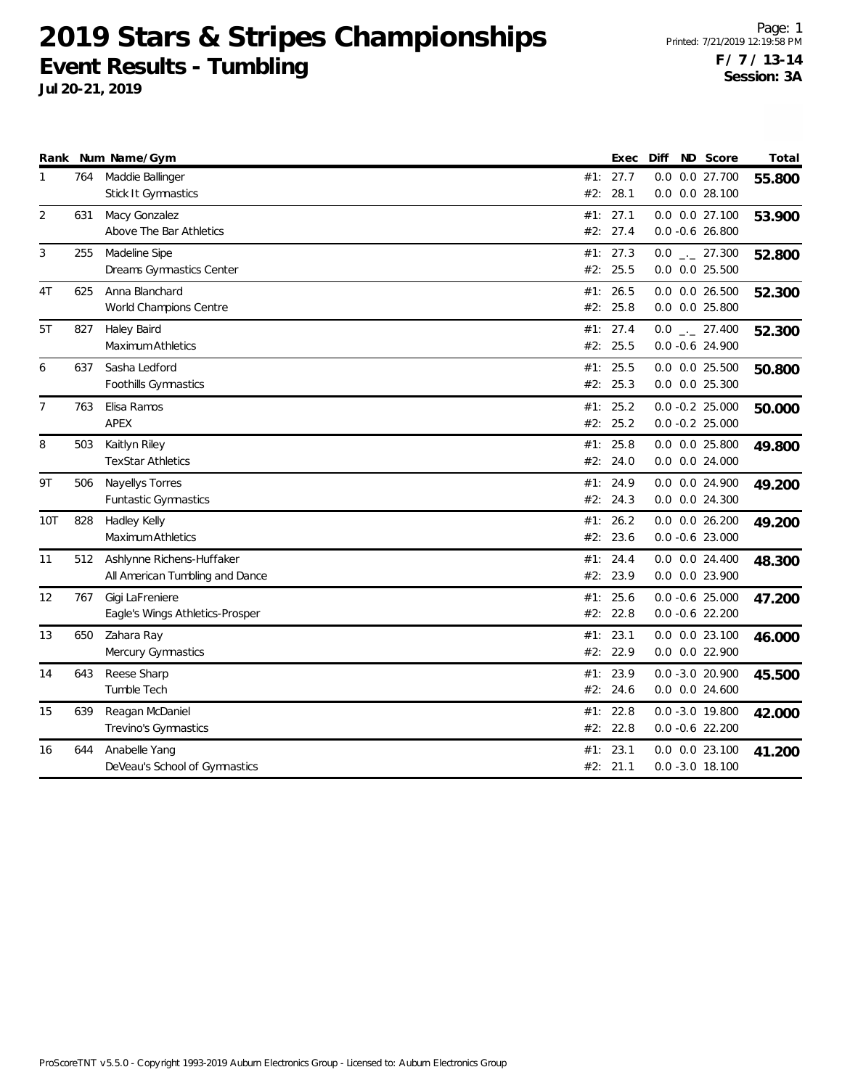|                |     | Rank Num Name/Gym               |     | Exec     | Diff                 | ND Score | Total  |
|----------------|-----|---------------------------------|-----|----------|----------------------|----------|--------|
| 1              | 764 | Maddie Ballinger                |     | #1: 27.7 | 0.0 0.0 27.700       |          | 55.800 |
|                |     | Stick It Gymnastics             | #2: | 28.1     | $0.0$ $0.0$ 28.100   |          |        |
| 2              | 631 | Macy Gonzalez                   | #1: | 27.1     | $0.0$ $0.0$ 27.100   |          | 53.900 |
|                |     | Above The Bar Athletics         |     | #2: 27.4 | $0.0 - 0.6 26.800$   |          |        |
| 3              | 255 | Madeline Sipe                   | #1: | 27.3     | $0.0$ _ 27.300       |          | 52.800 |
|                |     | Dreams Gymnastics Center        |     | #2: 25.5 | $0.0$ $0.0$ $25.500$ |          |        |
| 4T             | 625 | Anna Blanchard                  |     | #1: 26.5 | $0.0$ $0.0$ 26.500   |          | 52.300 |
|                |     | World Champions Centre          |     | #2: 25.8 | $0.0$ $0.0$ 25.800   |          |        |
| 5T             | 827 | Haley Baird                     |     | #1: 27.4 | $0.0$ _ 27.400       |          | 52.300 |
|                |     | Maximum Athletics               |     | #2: 25.5 | $0.0 - 0.6$ 24.900   |          |        |
| 6              | 637 | Sasha Ledford                   | #1: | 25.5     | $0.0$ $0.0$ $25.500$ |          | 50.800 |
|                |     | Foothills Gymnastics            |     | #2: 25.3 | $0.0$ $0.0$ $25.300$ |          |        |
| $\overline{7}$ | 763 | Elisa Ramos                     |     | #1: 25.2 | $0.0 - 0.2 25.000$   |          | 50.000 |
|                |     | <b>APEX</b>                     |     | #2: 25.2 | $0.0 - 0.2 25.000$   |          |        |
| 8              | 503 | Kaitlyn Riley                   |     | #1: 25.8 | $0.0$ $0.0$ 25.800   |          | 49.800 |
|                |     | <b>TexStar Athletics</b>        |     | #2: 24.0 | $0.0$ $0.0$ 24.000   |          |        |
| 9T             | 506 | Nayellys Torres                 | #1: | 24.9     | $0.0$ $0.0$ 24.900   |          | 49.200 |
|                |     | <b>Funtastic Gymnastics</b>     |     | #2: 24.3 | 0.0 0.0 24.300       |          |        |
| 10T            | 828 | Hadley Kelly                    |     | #1: 26.2 | $0.0$ $0.0$ $26.200$ |          | 49.200 |
|                |     | Maximum Athletics               |     | #2: 23.6 | $0.0 - 0.6$ 23.000   |          |        |
| 11             | 512 | Ashlynne Richens-Huffaker       |     | #1: 24.4 | $0.0$ $0.0$ 24.400   |          | 48.300 |
|                |     | All American Tumbling and Dance |     | #2: 23.9 | 0.0 0.0 23.900       |          |        |
| 12             | 767 | Gigi LaFreniere                 | #1: | 25.6     | $0.0 - 0.6$ 25.000   |          | 47.200 |
|                |     | Eagle's Wings Athletics-Prosper | #2: | 22.8     | $0.0 - 0.6$ 22.200   |          |        |
| 13             | 650 | Zahara Ray                      |     | #1: 23.1 | $0.0$ $0.0$ 23.100   |          | 46.000 |
|                |     | Mercury Gymnastics              |     | #2: 22.9 | $0.0$ $0.0$ 22.900   |          |        |
| 14             | 643 | Reese Sharp                     | #1: | 23.9     | $0.0 - 3.0 20.900$   |          | 45.500 |
|                |     | Tumble Tech                     |     | #2: 24.6 | $0.0$ $0.0$ 24.600   |          |        |
| 15             | 639 | Reagan McDaniel                 |     | #1: 22.8 | $0.0 - 3.0 19.800$   |          | 42.000 |
|                |     | Trevino's Gymnastics            |     | #2: 22.8 | $0.0 - 0.6$ 22.200   |          |        |
| 16             | 644 | Anabelle Yang                   |     | #1: 23.1 | $0.0$ $0.0$ 23.100   |          | 41.200 |
|                |     | DeVeau's School of Gymnastics   |     | #2: 21.1 | $0.0 - 3.0 18.100$   |          |        |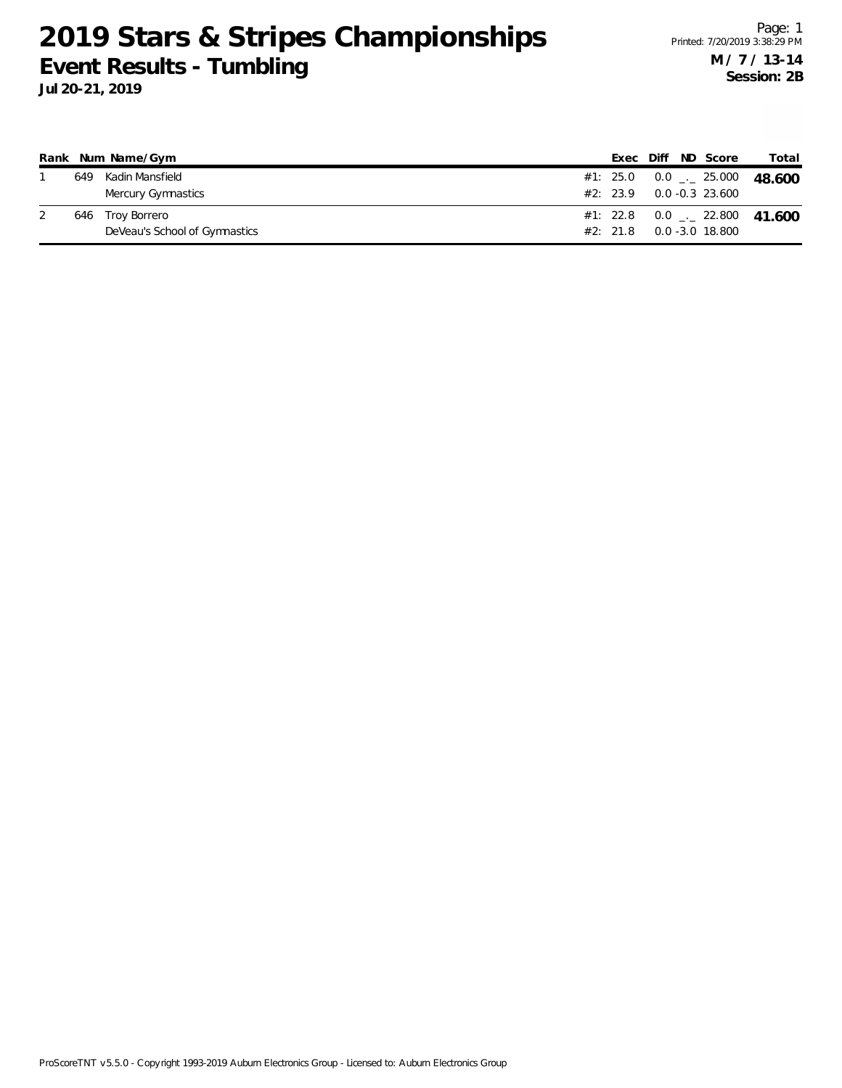|     | Rank Num Name/Gym             |  |  | Exec Diff ND Score            | Total                                      |
|-----|-------------------------------|--|--|-------------------------------|--------------------------------------------|
| 649 | Kadin Mansfield               |  |  |                               | #1: 25.0  0.0 $\ldots$ 25.000  48.600      |
|     | Mercury Gymnastics            |  |  | $#2: 23.9 0.0 -0.3 23.600$    |                                            |
|     | 646 Troy Borrero              |  |  |                               | #1: 22.8  0.0 $\frac{1}{2}$ 22.800  41.600 |
|     | DeVeau's School of Gymnastics |  |  | $#2: 21.8 \t 0.0 -3.0 18.800$ |                                            |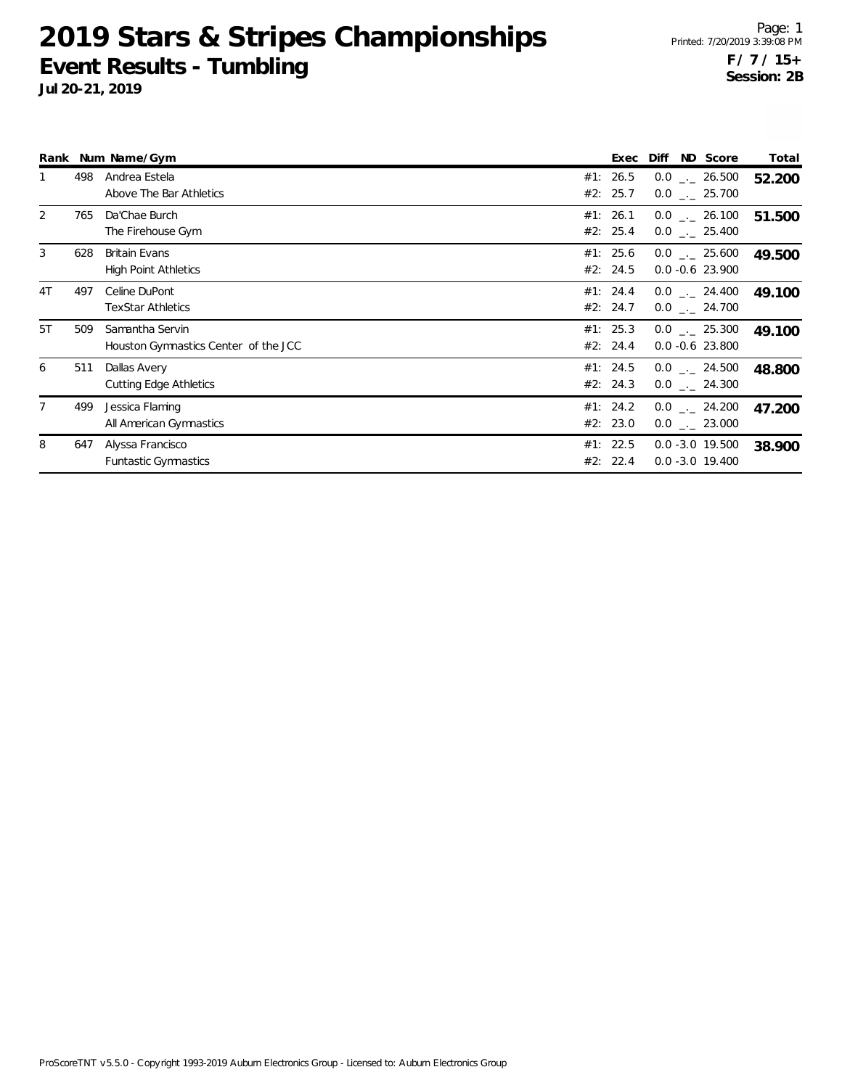|    |     | Rank Num Name/Gym                                       |     | Exec                 | ND Score<br>Diff                                 | Total  |
|----|-----|---------------------------------------------------------|-----|----------------------|--------------------------------------------------|--------|
|    | 498 | Andrea Estela<br>Above The Bar Athletics                |     | #1: 26.5<br>#2: 25.7 | $0.0$ _ 26.500<br>$0.0$ _ 25.700                 | 52.200 |
| 2  | 765 | Da'Chae Burch<br>The Firehouse Gym                      |     | #1: 26.1<br>#2: 25.4 | $0.0$ _ 26.100<br>$0.0$ _._ 25.400               | 51.500 |
| 3  | 628 | <b>Britain Evans</b><br><b>High Point Athletics</b>     |     | #1: 25.6<br>#2: 24.5 | $0.0$ _._ 25.600<br>$0.0 - 0.6$ 23.900           | 49.500 |
| 4T | 497 | Celine DuPont<br><b>TexStar Athletics</b>               |     | #1: 24.4<br>#2: 24.7 | $0.0$ _._ 24.400<br>$0.0$ _ 24.700               | 49.100 |
| 5T | 509 | Samantha Servin<br>Houston Gymnastics Center of the JCC |     | #1: 25.3<br>#2: 24.4 | $0.0$ . 25.300<br>$0.0 - 0.6$ 23.800             | 49.100 |
| 6  | 511 | Dallas Avery<br><b>Cutting Edge Athletics</b>           |     | #1: 24.5<br>#2: 24.3 | $0.0$ _._ 24.500<br>$0.0$ $_{\leftarrow}$ 24.300 | 48.800 |
|    | 499 | Jessica Flaming<br>All American Gymnastics              |     | #1: 24.2<br>#2: 23.0 | $0.0$ _._ 24.200<br>$0.0$ _._ 23.000             | 47.200 |
| 8  | 647 | Alyssa Francisco<br><b>Funtastic Gymnastics</b>         | #2: | #1: 22.5<br>22.4     | $0.0 - 3.0 19.500$<br>$0.0 - 3.0 19.400$         | 38.900 |